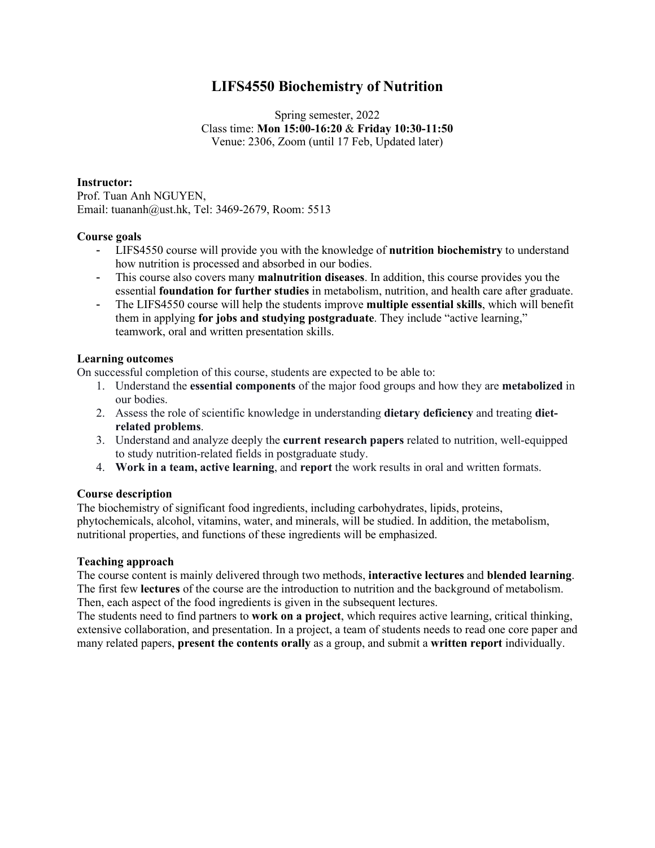# **LIFS4550 Biochemistry of Nutrition**

Spring semester, 2022 Class time: **Mon 15:00-16:20** & **Friday 10:30-11:50** Venue: 2306, Zoom (until 17 Feb, Updated later)

## **Instructor:**

Prof. Tuan Anh NGUYEN, Email: tuananh@ust.hk, Tel: 3469-2679, Room: 5513

## **Course goals**

- LIFS4550 course will provide you with the knowledge of **nutrition biochemistry** to understand how nutrition is processed and absorbed in our bodies.
- This course also covers many **malnutrition diseases**. In addition, this course provides you the essential **foundation for further studies** in metabolism, nutrition, and health care after graduate.
- The LIFS4550 course will help the students improve **multiple essential skills**, which will benefit them in applying **for jobs and studying postgraduate**. They include "active learning," teamwork, oral and written presentation skills.

## **Learning outcomes**

On successful completion of this course, students are expected to be able to:

- 1. Understand the **essential components** of the major food groups and how they are **metabolized** in our bodies.
- 2. Assess the role of scientific knowledge in understanding **dietary deficiency** and treating **dietrelated problems**.
- 3. Understand and analyze deeply the **current research papers** related to nutrition, well-equipped to study nutrition-related fields in postgraduate study.
- 4. **Work in a team, active learning**, and **report** the work results in oral and written formats.

### **Course description**

The biochemistry of significant food ingredients, including carbohydrates, lipids, proteins, phytochemicals, alcohol, vitamins, water, and minerals, will be studied. In addition, the metabolism, nutritional properties, and functions of these ingredients will be emphasized.

### **Teaching approach**

The course content is mainly delivered through two methods, **interactive lectures** and **blended learning**. The first few **lectures** of the course are the introduction to nutrition and the background of metabolism. Then, each aspect of the food ingredients is given in the subsequent lectures.

The students need to find partners to **work on a project**, which requires active learning, critical thinking, extensive collaboration, and presentation. In a project, a team of students needs to read one core paper and many related papers, **present the contents orally** as a group, and submit a **written report** individually.